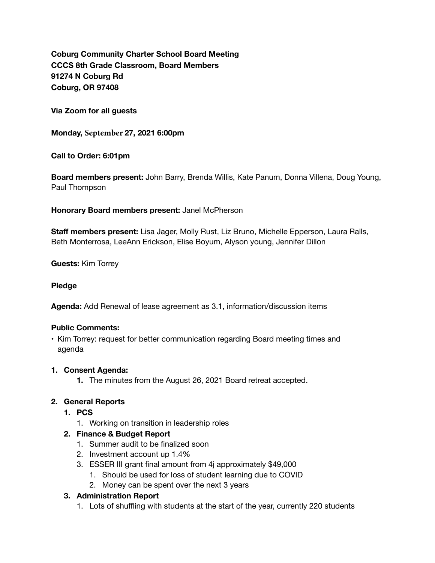**Coburg Community Charter School Board Meeting CCCS 8th Grade Classroom, Board Members 91274 N Coburg Rd Coburg, OR 97408** 

**Via Zoom for all guests** 

**Monday, September 27, 2021 6:00pm** 

**Call to Order: 6:01pm** 

**Board members present:** John Barry, Brenda Willis, Kate Panum, Donna Villena, Doug Young, Paul Thompson

**Honorary Board members present:** Janel McPherson

**Staff members present:** Lisa Jager, Molly Rust, Liz Bruno, Michelle Epperson, Laura Ralls, Beth Monterrosa, LeeAnn Erickson, Elise Boyum, Alyson young, Jennifer Dillon

**Guests:** Kim Torrey

#### **Pledge**

**Agenda:** Add Renewal of lease agreement as 3.1, information/discussion items

#### **Public Comments:**

• Kim Torrey: request for better communication regarding Board meeting times and agenda

#### **1. Consent Agenda:**

**1.** The minutes from the August 26, 2021 Board retreat accepted.

#### **2. General Reports**

- **1. PCS**
	- 1. Working on transition in leadership roles
- **2. Finance & Budget Report**
	- 1. Summer audit to be finalized soon
	- 2. Investment account up 1.4%
	- 3. ESSER III grant final amount from 4j approximately \$49,000
		- 1. Should be used for loss of student learning due to COVID
		- 2. Money can be spent over the next 3 years

#### **3. Administration Report**

1. Lots of shuffling with students at the start of the year, currently 220 students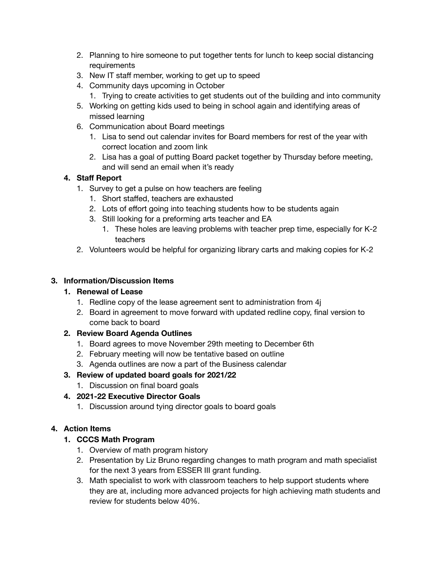- 2. Planning to hire someone to put together tents for lunch to keep social distancing requirements
- 3. New IT staff member, working to get up to speed
- 4. Community days upcoming in October
	- 1. Trying to create activities to get students out of the building and into community
- 5. Working on getting kids used to being in school again and identifying areas of missed learning
- 6. Communication about Board meetings
	- 1. Lisa to send out calendar invites for Board members for rest of the year with correct location and zoom link
	- 2. Lisa has a goal of putting Board packet together by Thursday before meeting, and will send an email when it's ready

### **4. Staff Report**

- 1. Survey to get a pulse on how teachers are feeling
	- 1. Short staffed, teachers are exhausted
	- 2. Lots of effort going into teaching students how to be students again
	- 3. Still looking for a preforming arts teacher and EA
		- 1. These holes are leaving problems with teacher prep time, especially for K-2 teachers
- 2. Volunteers would be helpful for organizing library carts and making copies for K-2

### **3. Information/Discussion Items**

### **1. Renewal of Lease**

- 1. Redline copy of the lease agreement sent to administration from 4j
- 2. Board in agreement to move forward with updated redline copy, final version to come back to board

# **2. Review Board Agenda Outlines**

- 1. Board agrees to move November 29th meeting to December 6th
- 2. February meeting will now be tentative based on outline
- 3. Agenda outlines are now a part of the Business calendar

# **3. Review of updated board goals for 2021/22**

1. Discussion on final board goals

# **4. 2021-22 Executive Director Goals**

1. Discussion around tying director goals to board goals

# **4. Action Items**

# **1. CCCS Math Program**

- 1. Overview of math program history
- 2. Presentation by Liz Bruno regarding changes to math program and math specialist for the next 3 years from ESSER III grant funding.
- 3. Math specialist to work with classroom teachers to help support students where they are at, including more advanced projects for high achieving math students and review for students below 40%.